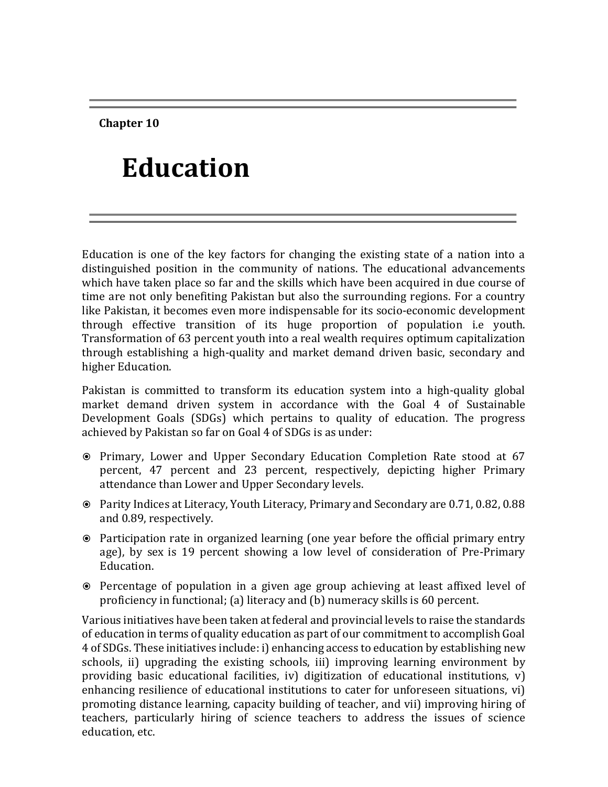**Chapter 10**

# **Education**

Education is one of the key factors for changing the existing state of a nation into a distinguished position in the community of nations. The educational advancements which have taken place so far and the skills which have been acquired in due course of time are not only benefiting Pakistan but also the surrounding regions. For a country like Pakistan, it becomes even more indispensable for its socio-economic development through effective transition of its huge proportion of population i.e youth. Transformation of 63 percent youth into a real wealth requires optimum capitalization through establishing a high-quality and market demand driven basic, secondary and higher Education.

Pakistan is committed to transform its education system into a high-quality global market demand driven system in accordance with the Goal 4 of Sustainable Development Goals (SDGs) which pertains to quality of education. The progress achieved by Pakistan so far on Goal 4 of SDGs is as under:

- Primary, Lower and Upper Secondary Education Completion Rate stood at 67 percent, 47 percent and 23 percent, respectively, depicting higher Primary attendance than Lower and Upper Secondary levels.
- Parity Indices at Literacy, Youth Literacy, Primary and Secondary are 0.71, 0.82, 0.88 and 0.89, respectively.
- Participation rate in organized learning (one year before the official primary entry age), by sex is 19 percent showing a low level of consideration of Pre-Primary Education.
- Percentage of population in a given age group achieving at least affixed level of proficiency in functional; (a) literacy and (b) numeracy skills is 60 percent.

Various initiatives have been taken at federal and provincial levels to raise the standards of education in terms of quality education as part of our commitment to accomplish Goal 4 of SDGs. These initiatives include: i) enhancing access to education by establishing new schools, ii) upgrading the existing schools, iii) improving learning environment by providing basic educational facilities, iv) digitization of educational institutions, v) enhancing resilience of educational institutions to cater for unforeseen situations, vi) promoting distance learning, capacity building of teacher, and vii) improving hiring of teachers, particularly hiring of science teachers to address the issues of science education, etc.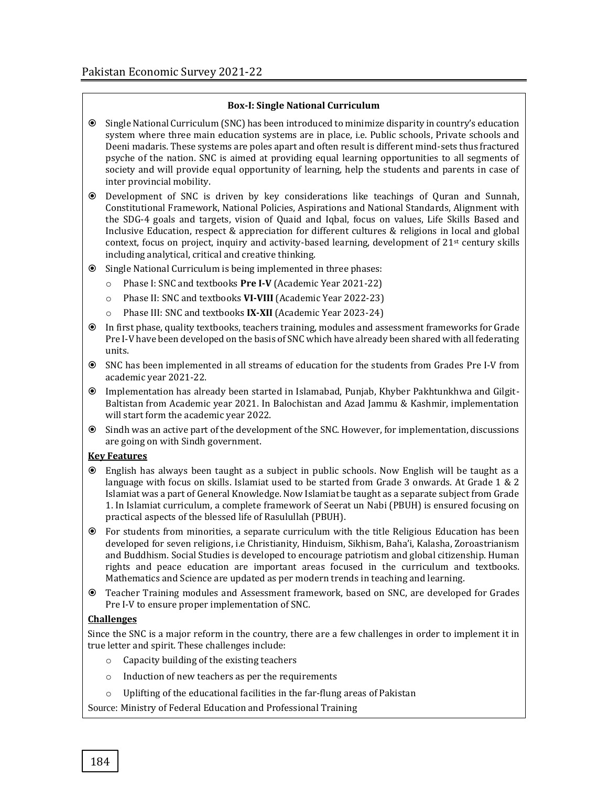#### **Box-I: Single National Curriculum**

 Single National Curriculum (SNC) has been introduced to minimize disparity in country's education system where three main education systems are in place, i.e. Public schools, Private schools and Deeni madaris. These systems are poles apart and often result is different mind-sets thus fractured psyche of the nation. SNC is aimed at providing equal learning opportunities to all segments of society and will provide equal opportunity of learning, help the students and parents in case of inter provincial mobility.

 Development of SNC is driven by key considerations like teachings of Quran and Sunnah, Constitutional Framework, National Policies, Aspirations and National Standards, Alignment with the SDG-4 goals and targets, vision of Quaid and Iqbal, focus on values, Life Skills Based and Inclusive Education, respect & appreciation for different cultures & religions in local and global context, focus on project, inquiry and activity-based learning, development of  $21<sup>st</sup>$  century skills including analytical, critical and creative thinking.

#### Single National Curriculum is being implemented in three phases:

- o Phase I: SNC and textbooks **Pre I-V** (Academic Year 2021-22)
- o Phase II: SNC and textbooks **VI-VIII** (Academic Year 2022-23)
- o Phase III: SNC and textbooks **IX-XII** (Academic Year 2023-24)
- In first phase, quality textbooks, teachers training, modules and assessment frameworks for Grade Pre I-V have been developed on the basis of SNC which have already been shared with all federating units.
- SNC has been implemented in all streams of education for the students from Grades Pre I-V from academic year 2021-22.
- Implementation has already been started in Islamabad, Punjab, Khyber Pakhtunkhwa and Gilgit-Baltistan from Academic year 2021. In Balochistan and Azad Jammu & Kashmir, implementation will start form the academic year 2022.
- Sindh was an active part of the development of the SNC. However, for implementation, discussions are going on with Sindh government.

#### **Key Features**

- English has always been taught as a subject in public schools. Now English will be taught as a language with focus on skills. Islamiat used to be started from Grade 3 onwards. At Grade 1 & 2 Islamiat was a part of General Knowledge. Now Islamiat be taught as a separate subject from Grade 1. In Islamiat curriculum, a complete framework of Seerat un Nabi (PBUH) is ensured focusing on practical aspects of the blessed life of Rasulullah (PBUH).
- For students from minorities, a separate curriculum with the title Religious Education has been developed for seven religions, i.e Christianity, Hinduism, Sikhism, Baha'i, Kalasha, Zoroastrianism and Buddhism. Social Studies is developed to encourage patriotism and global citizenship. Human rights and peace education are important areas focused in the curriculum and textbooks. Mathematics and Science are updated as per modern trends in teaching and learning.
- Teacher Training modules and Assessment framework, based on SNC, are developed for Grades Pre I-V to ensure proper implementation of SNC.

#### **Challenges**

Since the SNC is a major reform in the country, there are a few challenges in order to implement it in true letter and spirit. These challenges include:

- o Capacity building of the existing teachers
- o Induction of new teachers as per the requirements
- o Uplifting of the educational facilities in the far-flung areas of Pakistan

Source: Ministry of Federal Education and Professional Training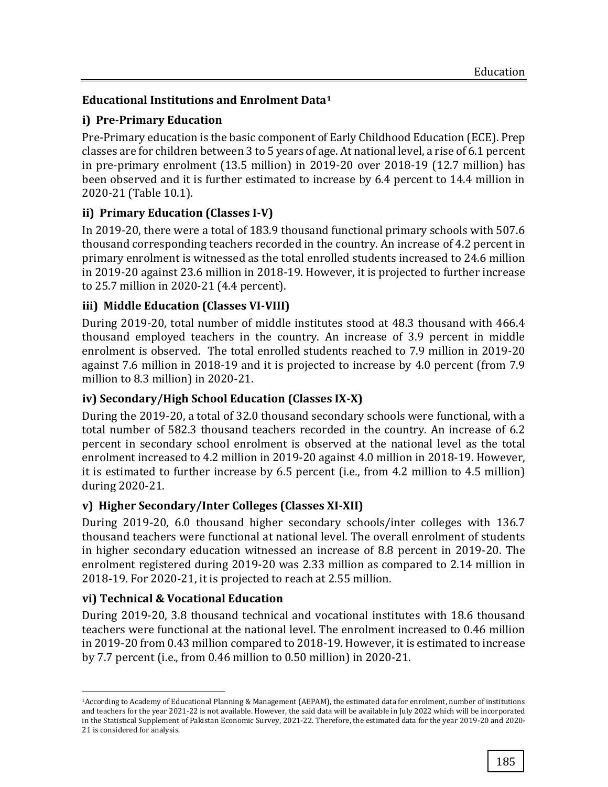# **Educational Institutions and Enrolment Data<sup>1</sup>**

# **i) Pre-Primary Education**

Pre-Primary education is the basic component of Early Childhood Education (ECE). Prep classes are for children between 3 to 5 years of age. At national level, a rise of 6.1 percent in pre-primary enrolment (13.5 million) in 2019-20 over 2018-19 (12.7 million) has been observed and it is further estimated to increase by 6.4 percent to 14.4 million in 2020-21 (Table 10.1).

# **ii) Primary Education (Classes I-V)**

In 2019-20, there were a total of 183.9 thousand functional primary schools with 507.6 thousand corresponding teachers recorded in the country. An increase of 4.2 percent in primary enrolment is witnessed as the total enrolled students increased to 24.6 million in 2019-20 against 23.6 million in 2018-19. However, it is projected to further increase to 25.7 million in 2020-21 (4.4 percent).

# **iii) Middle Education (Classes VI-VIII)**

During 2019-20, total number of middle institutes stood at 48.3 thousand with 466.4 thousand employed teachers in the country. An increase of 3.9 percent in middle enrolment is observed. The total enrolled students reached to 7.9 million in 2019-20 against 7.6 million in 2018-19 and it is projected to increase by 4.0 percent (from 7.9 million to 8.3 million) in 2020-21.

# **iv) Secondary/High School Education (Classes IX-X)**

During the 2019-20, a total of 32.0 thousand secondary schools were functional, with a total number of 582.3 thousand teachers recorded in the country. An increase of 6.2 percent in secondary school enrolment is observed at the national level as the total enrolment increased to 4.2 million in 2019-20 against 4.0 million in 2018-19. However, it is estimated to further increase by 6.5 percent (i.e., from 4.2 million to 4.5 million) during 2020-21.

# **v) Higher Secondary/Inter Colleges (Classes XI-XII)**

During 2019-20, 6.0 thousand higher secondary schools/inter colleges with 136.7 thousand teachers were functional at national level. The overall enrolment of students in higher secondary education witnessed an increase of 8.8 percent in 2019-20. The enrolment registered during 2019-20 was 2.33 million as compared to 2.14 million in 2018-19. For 2020-21, it is projected to reach at 2.55 million.

# **vi) Technical & Vocational Education**

 $\overline{a}$ 

During 2019-20, 3.8 thousand technical and vocational institutes with 18.6 thousand teachers were functional at the national level. The enrolment increased to 0.46 million in 2019-20 from 0.43 million compared to 2018-19. However, it is estimated to increase by 7.7 percent (i.e., from 0.46 million to 0.50 million) in 2020-21.

<sup>1</sup>According to Academy of Educational Planning & Management (AEPAM), the estimated data for enrolment, number of institutions and teachers for the year 2021-22 is not available. However, the said data will be available in July 2022 which will be incorporated in the Statistical Supplement of Pakistan Economic Survey, 2021-22. Therefore, the estimated data for the year 2019-20 and 2020- 21 is considered for analysis.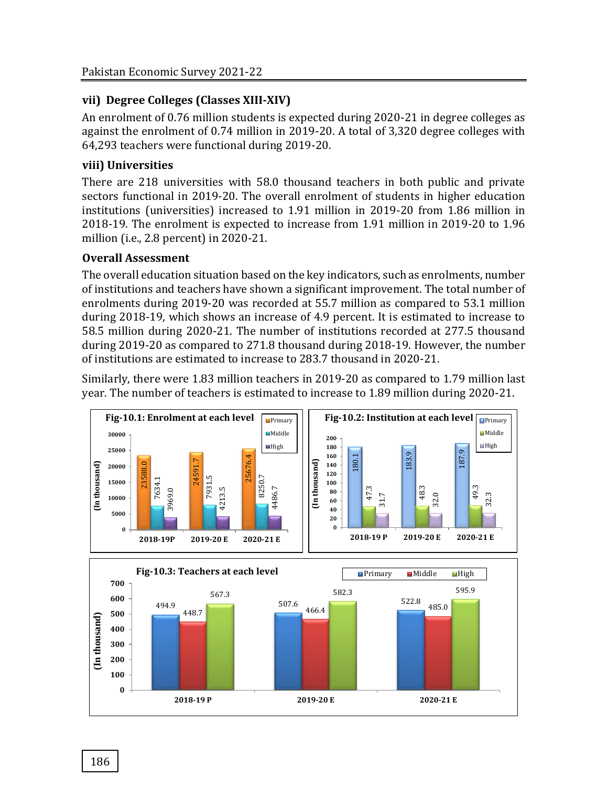# **vii) Degree Colleges (Classes XIII-XIV)**

An enrolment of 0.76 million students is expected during 2020-21 in degree colleges as against the enrolment of 0.74 million in 2019-20. A total of 3,320 degree colleges with 64,293 teachers were functional during 2019-20.

# **viii) Universities**

There are 218 universities with 58.0 thousand teachers in both public and private sectors functional in 2019-20. The overall enrolment of students in higher education institutions (universities) increased to 1.91 million in 2019-20 from 1.86 million in 2018-19. The enrolment is expected to increase from 1.91 million in 2019-20 to 1.96 million (i.e., 2.8 percent) in 2020-21.

# **Overall Assessment**

The overall education situation based on the key indicators, such as enrolments, number of institutions and teachers have shown a significant improvement. The total number of enrolments during 2019-20 was recorded at 55.7 million as compared to 53.1 million during 2018-19, which shows an increase of 4.9 percent. It is estimated to increase to 58.5 million during 2020-21. The number of institutions recorded at 277.5 thousand during 2019-20 as compared to 271.8 thousand during 2018-19. However, the number of institutions are estimated to increase to 283.7 thousand in 2020-21.

Similarly, there were 1.83 million teachers in 2019-20 as compared to 1.79 million last year. The number of teachers is estimated to increase to 1.89 million during 2020-21.

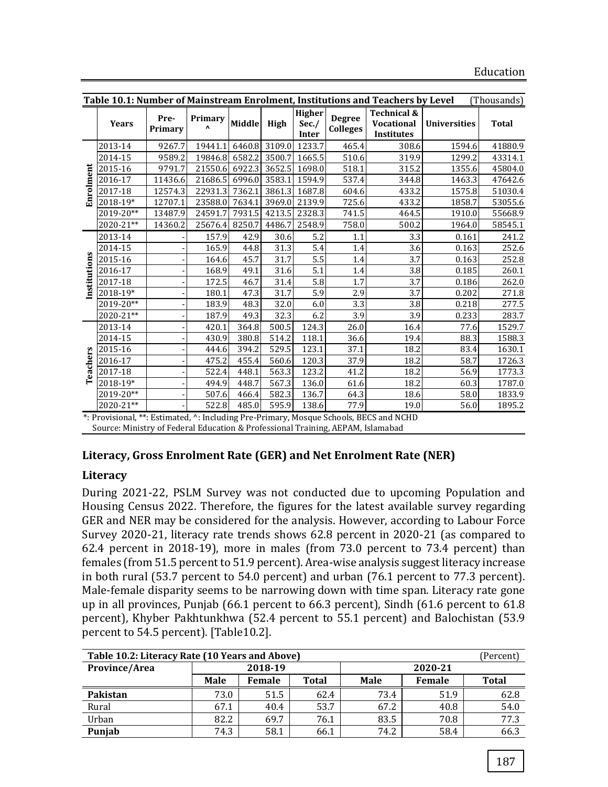|             | Table 10.1: Number of Mainstream Enrolment, Institutions and Teachers by Level<br>(Thousands) |                 |                         |        |        |                                 |                                  |                                                                                                   |                     |              |
|-------------|-----------------------------------------------------------------------------------------------|-----------------|-------------------------|--------|--------|---------------------------------|----------------------------------|---------------------------------------------------------------------------------------------------|---------------------|--------------|
|             | <b>Years</b>                                                                                  | Pre-<br>Primary | Primary<br>$\mathbf{v}$ | Middle | High   | <b>Higher</b><br>Sec./<br>Inter | <b>Degree</b><br><b>Colleges</b> | <b>Technical &amp;</b><br><b>Vocational</b><br><b>Institutes</b>                                  | <b>Universities</b> | <b>Total</b> |
|             | 2013-14                                                                                       | 9267.7          | 19441.1                 | 6460.8 | 3109.0 | 1233.7                          | 465.4                            | 308.6                                                                                             | 1594.6              | 41880.9      |
|             | 2014-15                                                                                       | 9589.2          | 19846.8                 | 6582.2 | 3500.7 | 1665.5                          | 510.6                            | 319.9                                                                                             | 1299.2              | 43314.1      |
|             | 2015-16                                                                                       | 9791.7          | 21550.6                 | 6922.3 | 3652.5 | 1698.0                          | 518.1                            | 315.2                                                                                             | 1355.6              | 45804.0      |
|             | 2016-17                                                                                       | 11436.6         | 21686.5                 | 6996.0 | 3583.1 | 1594.9                          | 537.4                            | 344.8                                                                                             | 1463.3              | 47642.6      |
| Enrolment   | 2017-18                                                                                       | 12574.3         | 22931.3                 | 7362.1 | 3861.3 | 1687.8                          | 604.6                            | 433.2                                                                                             | 1575.8              | 51030.4      |
|             | 2018-19*                                                                                      | 12707.1         | 23588.0                 | 7634.1 | 3969.0 | 2139.9                          | 725.6                            | 433.2                                                                                             | 1858.7              | 53055.6      |
|             | 2019-20**                                                                                     | 13487.9         | 24591.7                 | 7931.5 | 4213.5 | 2328.3                          | 741.5                            | 464.5                                                                                             | 1910.0              | 55668.9      |
|             | 2020-21**                                                                                     | 14360.2         | 25676.4                 | 8250.7 | 4486.7 | 2548.9                          | 758.0                            | 500.2                                                                                             | 1964.0              | 58545.1      |
|             | 2013-14                                                                                       |                 | 157.9                   | 42.9   | 30.6   | 5.2                             | 1.1                              | 3.3                                                                                               | 0.161               | 241.2        |
|             | 2014-15                                                                                       |                 | 165.9                   | 44.8   | 31.3   | 5.4                             | 1.4                              | 3.6                                                                                               | 0.163               | 252.6        |
| nstitutions | 2015-16                                                                                       |                 | 164.6                   | 45.7   | 31.7   | 5.5                             | 1.4                              | 3.7                                                                                               | 0.163               | 252.8        |
|             | 2016-17                                                                                       |                 | 168.9                   | 49.1   | 31.6   | 5.1                             | 1.4                              | 3.8                                                                                               | 0.185               | 260.1        |
|             | 2017-18                                                                                       |                 | 172.5                   | 46.7   | 31.4   | 5.8                             | 1.7                              | 3.7                                                                                               | 0.186               | 262.0        |
|             | 2018-19*                                                                                      |                 | 180.1                   | 47.3   | 31.7   | 5.9                             | 2.9                              | 3.7                                                                                               | 0.202               | 271.8        |
|             | 2019-20**                                                                                     |                 | 183.9                   | 48.3   | 32.0   | 6.0                             | 3.3                              | 3.8                                                                                               | 0.218               | 277.5        |
|             | 2020-21**                                                                                     |                 | 187.9                   | 49.3   | 32.3   | 6.2                             | 3.9                              | 3.9                                                                                               | 0.233               | 283.7        |
|             | 2013-14                                                                                       |                 | 420.1                   | 364.8  | 500.5  | 124.3                           | 26.0                             | 16.4                                                                                              | 77.6                | 1529.7       |
|             | 2014-15                                                                                       |                 | 430.9                   | 380.8  | 514.2  | 118.1                           | 36.6                             | 19.4                                                                                              | 88.3                | 1588.3       |
|             | 2015-16                                                                                       |                 | 444.6                   | 394.2  | 529.5  | 123.1                           | 37.1                             | 18.2                                                                                              | 83.4                | 1630.1       |
| Teachers    | 2016-17                                                                                       |                 | 475.2                   | 455.4  | 560.6  | 120.3                           | 37.9                             | 18.2                                                                                              | 58.7                | 1726.3       |
|             | 2017-18                                                                                       |                 | 522.4                   | 448.1  | 563.3  | 123.2                           | 41.2                             | 18.2                                                                                              | 56.9                | 1773.3       |
|             | 2018-19*                                                                                      |                 | 494.9                   | 448.7  | 567.3  | 136.0                           | 61.6                             | 18.2                                                                                              | 60.3                | 1787.0       |
|             | 2019-20**                                                                                     |                 | 507.6                   | 466.4  | 582.3  | 136.7                           | 64.3                             | 18.6                                                                                              | 58.0                | 1833.9       |
|             | 2020-21**                                                                                     |                 | 522.8                   | 485.0  | 595.9  | 138.6                           | 77.9                             | 19.0<br>*. Descriptional **. Ectionated, A. Ingluding Dee, Deimage: Moogue Cohoole, DECC and MCUD | 56.0                | 1895.2       |

\*: Provisional, \*\*: Estimated, ^: Including Pre-Primary, Mosque Schools, BECS and NCHD Source: Ministry of Federal Education & Professional Training, AEPAM, Islamabad

# **Literacy, Gross Enrolment Rate (GER) and Net Enrolment Rate (NER)**

#### **Literacy**

During 2021-22, PSLM Survey was not conducted due to upcoming Population and Housing Census 2022. Therefore, the figures for the latest available survey regarding GER and NER may be considered for the analysis. However, according to Labour Force Survey 2020-21, literacy rate trends shows 62.8 percent in 2020-21 (as compared to 62.4 percent in 2018-19), more in males (from 73.0 percent to 73.4 percent) than females (from 51.5 percent to 51.9 percent). Area-wise analysis suggest literacy increase in both rural (53.7 percent to 54.0 percent) and urban (76.1 percent to 77.3 percent). Male-female disparity seems to be narrowing down with time span. Literacy rate gone up in all provinces, Punjab (66.1 percent to 66.3 percent), Sindh (61.6 percent to 61.8 percent), Khyber Pakhtunkhwa (52.4 percent to 55.1 percent) and Balochistan (53.9 percent to 54.5 percent). [Table10.2].

| Table 10.2: Literacy Rate (10 Years and Above)<br>(Percent) |             |        |       |             |        |       |  |  |
|-------------------------------------------------------------|-------------|--------|-------|-------------|--------|-------|--|--|
| Province/Area                                               | 2018-19     |        |       | 2020-21     |        |       |  |  |
|                                                             | <b>Male</b> | Female | Total | <b>Male</b> | Female | Total |  |  |
| Pakistan                                                    | 73.0        | 51.5   | 62.4  | 73.4        | 51.9   | 62.8  |  |  |
| Rural                                                       | 67.1        | 40.4   | 53.7  | 67.2        | 40.8   | 54.0  |  |  |
| Urban                                                       | 82.2        | 69.7   | 76.1  | 83.5        | 70.8   | 77.3  |  |  |
| Punjab                                                      | 74.3        | 58.1   | 66.1  | 74.2        | 58.4   | 66.3  |  |  |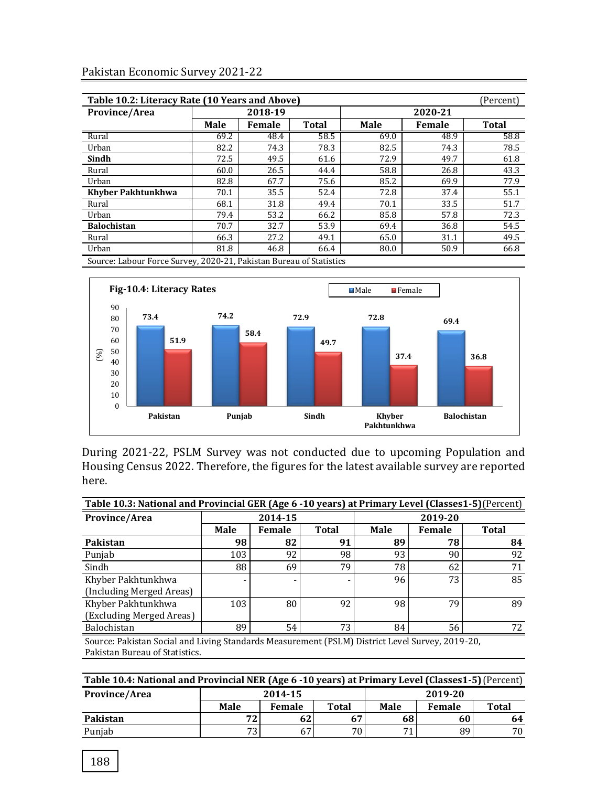| Table 10.2: Literacy Rate (10 Years and Above)<br>(Percent)         |             |        |              |             |               |              |  |  |  |
|---------------------------------------------------------------------|-------------|--------|--------------|-------------|---------------|--------------|--|--|--|
| Province/Area                                                       | 2018-19     |        |              |             | 2020-21       |              |  |  |  |
|                                                                     | <b>Male</b> | Female | <b>Total</b> | <b>Male</b> | <b>Female</b> | <b>Total</b> |  |  |  |
| Rural                                                               | 69.2        | 48.4   | 58.5         | 69.0        | 48.9          | 58.8         |  |  |  |
| Urban                                                               | 82.2        | 74.3   | 78.3         | 82.5        | 74.3          | 78.5         |  |  |  |
| Sindh                                                               | 72.5        | 49.5   | 61.6         | 72.9        | 49.7          | 61.8         |  |  |  |
| Rural                                                               | 60.0        | 26.5   | 44.4         | 58.8        | 26.8          | 43.3         |  |  |  |
| Urban                                                               | 82.8        | 67.7   | 75.6         | 85.2        | 69.9          | 77.9         |  |  |  |
| Khyber Pakhtunkhwa                                                  | 70.1        | 35.5   | 52.4         | 72.8        | 37.4          | 55.1         |  |  |  |
| Rural                                                               | 68.1        | 31.8   | 49.4         | 70.1        | 33.5          | 51.7         |  |  |  |
| Urban                                                               | 79.4        | 53.2   | 66.2         | 85.8        | 57.8          | 72.3         |  |  |  |
| <b>Balochistan</b>                                                  | 70.7        | 32.7   | 53.9         | 69.4        | 36.8          | 54.5         |  |  |  |
| Rural                                                               | 66.3        | 27.2   | 49.1         | 65.0        | 31.1          | 49.5         |  |  |  |
| Urban                                                               | 81.8        | 46.8   | 66.4         | 80.0        | 50.9          | 66.8         |  |  |  |
| Source: Labour Force Survey, 2020-21, Pakistan Bureau of Statistics |             |        |              |             |               |              |  |  |  |

Source: Labour Force Survey, 2020-21, Pakistan Bureau of Statistics



During 2021-22, PSLM Survey was not conducted due to upcoming Population and Housing Census 2022. Therefore, the figures for the latest available survey are reported here.

| Table 10.3: National and Provincial GER (Age 6 - 10 years) at Primary Level (Classes1-5) (Percent) |                                                                                                 |         |              |             |         |              |  |
|----------------------------------------------------------------------------------------------------|-------------------------------------------------------------------------------------------------|---------|--------------|-------------|---------|--------------|--|
| Province/Area                                                                                      |                                                                                                 | 2014-15 |              |             | 2019-20 |              |  |
|                                                                                                    | <b>Male</b>                                                                                     | Female  | <b>Total</b> | <b>Male</b> | Female  | <b>Total</b> |  |
| Pakistan                                                                                           | 98                                                                                              | 82      | 91           | 89          | 78      | 84           |  |
| Punjab                                                                                             | 103                                                                                             | 92      | 98           | 93          | 90      | 92           |  |
| Sindh                                                                                              | 88                                                                                              | 69      | 79           | 78          | 62      | 71           |  |
| Khyber Pakhtunkhwa                                                                                 |                                                                                                 |         |              | 96          | 73      | 85           |  |
| (Including Merged Areas)                                                                           |                                                                                                 |         |              |             |         |              |  |
| Khyber Pakhtunkhwa                                                                                 | 103                                                                                             | 80      | 92           | 98          | 79      | 89           |  |
| (Excluding Merged Areas)                                                                           |                                                                                                 |         |              |             |         |              |  |
| Balochistan                                                                                        | 89                                                                                              | 54      | 73           | 84          | 56      | 72           |  |
|                                                                                                    | Source: Pakistan Social and Living Standards Measurement (PSLM) District Level Survey, 2019-20, |         |              |             |         |              |  |

Pakistan Bureau of Statistics.

| Table 10.4: National and Provincial NER (Age 6 -10 years) at Primary Level (Classes1-5) (Percent) |                 |        |                 |         |        |       |  |
|---------------------------------------------------------------------------------------------------|-----------------|--------|-----------------|---------|--------|-------|--|
| <b>Province/Area</b>                                                                              | 2014-15         |        |                 | 2019-20 |        |       |  |
|                                                                                                   | Male            | Female | <b>Total</b>    | Male    | Female | Total |  |
| Pakistan                                                                                          | 72 <sub>1</sub> | 62     | 67              | 68      | 60     | 64    |  |
| Punjab                                                                                            | 73 <sub>1</sub> | 67     | 70 <sub>1</sub> | 74      | 89     | 70    |  |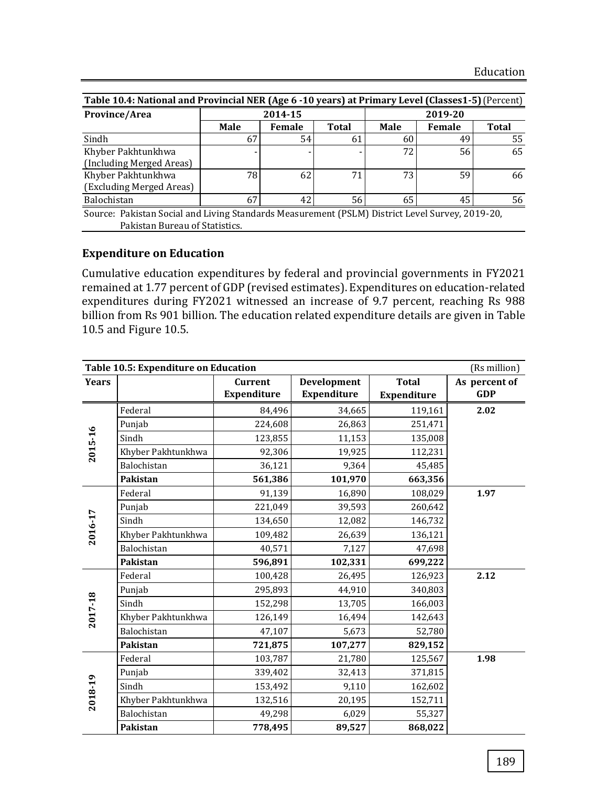| Table 10.4: National and Provincial NER (Age 6 -10 years) at Primary Level (Classes1-5) (Percent) |                                |               |              |             |        |              |  |  |
|---------------------------------------------------------------------------------------------------|--------------------------------|---------------|--------------|-------------|--------|--------------|--|--|
| Province/Area                                                                                     |                                | 2014-15       |              | 2019-20     |        |              |  |  |
|                                                                                                   | <b>Male</b>                    | <b>Female</b> | <b>Total</b> | <b>Male</b> | Female | <b>Total</b> |  |  |
| Sindh                                                                                             | 67                             | 54            | 61           | 60          | 49     | 55           |  |  |
| Khyber Pakhtunkhwa                                                                                |                                |               |              | 72          | 56     | 65           |  |  |
| (Including Merged Areas)                                                                          |                                |               |              |             |        |              |  |  |
| Khyber Pakhtunkhwa                                                                                | 78                             | 62            | 71           | 73          | 59     | 66           |  |  |
| (Excluding Merged Areas)                                                                          |                                |               |              |             |        |              |  |  |
| Balochistan                                                                                       | 67                             | 42            | 56           | 65          | 45     | 56           |  |  |
| Source: Pakistan Social and Living Standards Measurement (PSLM) District Level Survey, 2019-20,   |                                |               |              |             |        |              |  |  |
|                                                                                                   | Pakistan Bureau of Statistics. |               |              |             |        |              |  |  |

## **Expenditure on Education**

Cumulative education expenditures by federal and provincial governments in FY2021 remained at 1.77 percent of GDP (revised estimates). Expenditures on education-related expenditures during FY2021 witnessed an increase of 9.7 percent, reaching Rs 988 billion from Rs 901 billion. The education related expenditure details are given in Table 10.5 and Figure 10.5.

|              | Table 10.5: Expenditure on Education<br>(Rs million) |                                      |                                   |                             |                             |  |  |  |  |
|--------------|------------------------------------------------------|--------------------------------------|-----------------------------------|-----------------------------|-----------------------------|--|--|--|--|
| <b>Years</b> |                                                      | <b>Current</b><br><b>Expenditure</b> | Development<br><b>Expenditure</b> | <b>Total</b><br>Expenditure | As percent of<br><b>GDP</b> |  |  |  |  |
|              | Federal                                              | 84,496                               | 34,665                            | 119,161                     | 2.02                        |  |  |  |  |
|              | Punjab                                               | 224,608                              | 26,863                            | 251,471                     |                             |  |  |  |  |
| 2015-16      | Sindh                                                | 123,855                              | 11,153                            | 135,008                     |                             |  |  |  |  |
|              | Khyber Pakhtunkhwa                                   | 92,306                               | 19,925                            | 112,231                     |                             |  |  |  |  |
|              | Balochistan                                          | 36,121                               | 9,364                             | 45,485                      |                             |  |  |  |  |
|              | Pakistan                                             | 561,386                              | 101,970                           | 663,356                     |                             |  |  |  |  |
|              | Federal                                              | 91,139                               | 16,890                            | 108,029                     | 1.97                        |  |  |  |  |
|              | Punjab                                               | 221,049                              | 39,593                            | 260,642                     |                             |  |  |  |  |
| 2016-17      | Sindh                                                | 134,650                              | 12,082                            | 146,732                     |                             |  |  |  |  |
|              | Khyber Pakhtunkhwa                                   | 109,482                              | 26,639                            | 136,121                     |                             |  |  |  |  |
|              | Balochistan                                          | 40,571                               | 7,127                             | 47,698                      |                             |  |  |  |  |
|              | Pakistan                                             | 596,891                              | 102,331                           | 699,222                     |                             |  |  |  |  |
|              | Federal                                              | 100,428                              | 26,495                            | 126,923                     | 2.12                        |  |  |  |  |
|              | Punjab                                               | 295,893                              | 44,910                            | 340,803                     |                             |  |  |  |  |
|              | Sindh                                                | 152,298                              | 13,705                            | 166,003                     |                             |  |  |  |  |
| 2017-18      | Khyber Pakhtunkhwa                                   | 126,149                              | 16,494                            | 142,643                     |                             |  |  |  |  |
|              | Balochistan                                          | 47,107                               | 5,673                             | 52,780                      |                             |  |  |  |  |
|              | Pakistan                                             | 721,875                              | 107,277                           | 829,152                     |                             |  |  |  |  |
|              | Federal                                              | 103,787                              | 21,780                            | 125,567                     | 1.98                        |  |  |  |  |
|              | Punjab                                               | 339,402                              | 32,413                            | 371,815                     |                             |  |  |  |  |
|              | Sindh                                                | 153,492                              | 9,110                             | 162,602                     |                             |  |  |  |  |
| 2018-19      | Khyber Pakhtunkhwa                                   | 132,516                              | 20,195                            | 152,711                     |                             |  |  |  |  |
|              | Balochistan                                          | 49,298                               | 6,029                             | 55,327                      |                             |  |  |  |  |
|              | Pakistan                                             | 778,495                              | 89,527                            | 868,022                     |                             |  |  |  |  |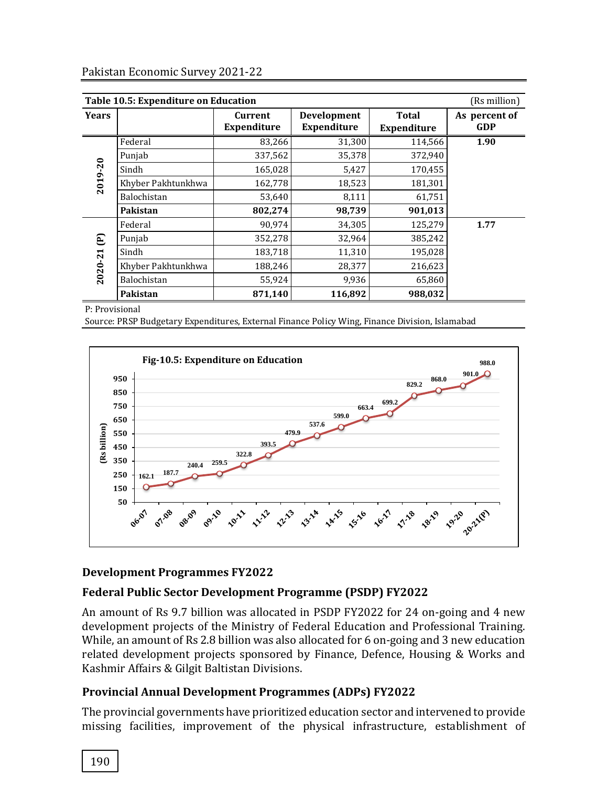|              | Table 10.5: Expenditure on Education<br>(Rs million) |                               |                                          |                             |                             |  |  |  |  |  |  |
|--------------|------------------------------------------------------|-------------------------------|------------------------------------------|-----------------------------|-----------------------------|--|--|--|--|--|--|
| <b>Years</b> |                                                      | Current<br><b>Expenditure</b> | <b>Development</b><br><b>Expenditure</b> | Total<br><b>Expenditure</b> | As percent of<br><b>GDP</b> |  |  |  |  |  |  |
|              | Federal                                              | 83,266                        | 31,300                                   | 114,566                     | 1.90                        |  |  |  |  |  |  |
|              | Punjab                                               | 337,562                       | 35,378                                   | 372,940                     |                             |  |  |  |  |  |  |
|              | Sindh                                                | 165,028                       | 5,427                                    | 170,455                     |                             |  |  |  |  |  |  |
| 2019-20      | Khyber Pakhtunkhwa                                   | 162,778                       | 18,523                                   | 181,301                     |                             |  |  |  |  |  |  |
|              | Balochistan                                          | 53,640                        | 8,111                                    | 61,751                      |                             |  |  |  |  |  |  |
|              | Pakistan                                             | 802,274                       | 98,739                                   | 901,013                     |                             |  |  |  |  |  |  |
|              | Federal                                              | 90,974                        | 34,305                                   | 125,279                     | 1.77                        |  |  |  |  |  |  |
| E            | Punjab                                               | 352,278                       | 32,964                                   | 385,242                     |                             |  |  |  |  |  |  |
|              | Sindh                                                | 183,718                       | 11,310                                   | 195,028                     |                             |  |  |  |  |  |  |
| 2020-21      | Khyber Pakhtunkhwa                                   | 188,246                       | 28,377                                   | 216,623                     |                             |  |  |  |  |  |  |
|              | Balochistan                                          | 55,924                        | 9,936                                    | 65,860                      |                             |  |  |  |  |  |  |
|              | Pakistan                                             | 871,140                       | 116,892                                  | 988,032                     |                             |  |  |  |  |  |  |

P: Provisional

Source: PRSP Budgetary Expenditures, External Finance Policy Wing, Finance Division, Islamabad



#### **Development Programmes FY2022**

#### **Federal Public Sector Development Programme (PSDP) FY2022**

An amount of Rs 9.7 billion was allocated in PSDP FY2022 for 24 on-going and 4 new development projects of the Ministry of Federal Education and Professional Training. While, an amount of Rs 2.8 billion was also allocated for 6 on-going and 3 new education related development projects sponsored by Finance, Defence, Housing & Works and Kashmir Affairs & Gilgit Baltistan Divisions.

#### **Provincial Annual Development Programmes (ADPs) FY2022**

The provincial governments have prioritized education sector and intervened to provide missing facilities, improvement of the physical infrastructure, establishment of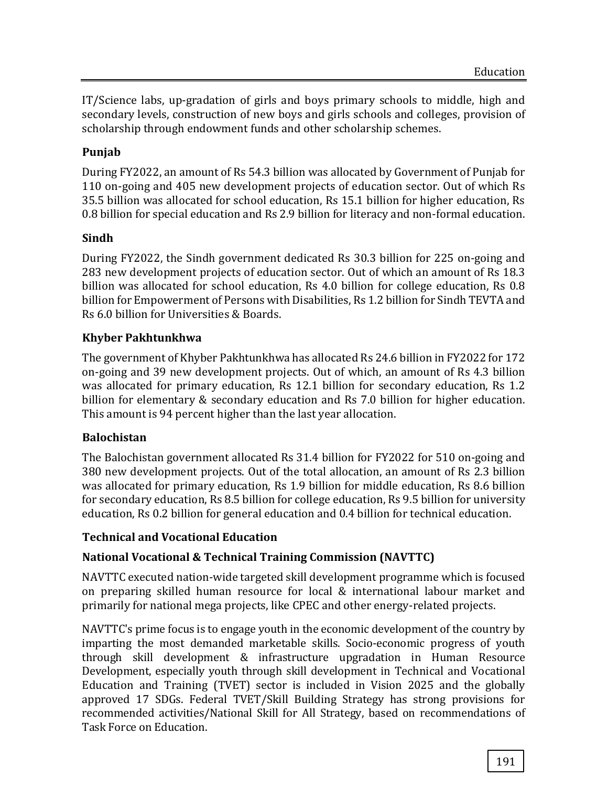IT/Science labs, up-gradation of girls and boys primary schools to middle, high and secondary levels, construction of new boys and girls schools and colleges, provision of scholarship through endowment funds and other scholarship schemes.

## **Punjab**

During FY2022, an amount of Rs 54.3 billion was allocated by Government of Punjab for 110 on-going and 405 new development projects of education sector. Out of which Rs 35.5 billion was allocated for school education, Rs 15.1 billion for higher education, Rs 0.8 billion for special education and Rs 2.9 billion for literacy and non-formal education.

## **Sindh**

During FY2022, the Sindh government dedicated Rs 30.3 billion for 225 on-going and 283 new development projects of education sector. Out of which an amount of Rs 18.3 billion was allocated for school education, Rs 4.0 billion for college education, Rs 0.8 billion for Empowerment of Persons with Disabilities, Rs 1.2 billion for Sindh TEVTA and Rs 6.0 billion for Universities & Boards.

# **Khyber Pakhtunkhwa**

The government of Khyber Pakhtunkhwa has allocated Rs 24.6 billion in FY2022 for 172 on-going and 39 new development projects. Out of which, an amount of Rs 4.3 billion was allocated for primary education, Rs 12.1 billion for secondary education, Rs 1.2 billion for elementary & secondary education and Rs 7.0 billion for higher education. This amount is 94 percent higher than the last year allocation.

#### **Balochistan**

The Balochistan government allocated Rs 31.4 billion for FY2022 for 510 on-going and 380 new development projects. Out of the total allocation, an amount of Rs 2.3 billion was allocated for primary education, Rs 1.9 billion for middle education, Rs 8.6 billion for secondary education, Rs 8.5 billion for college education, Rs 9.5 billion for university education, Rs 0.2 billion for general education and 0.4 billion for technical education.

# **Technical and Vocational Education**

# **National Vocational & Technical Training Commission (NAVTTC)**

NAVTTC executed nation-wide targeted skill development programme which is focused on preparing skilled human resource for local & international labour market and primarily for national mega projects, like CPEC and other energy-related projects.

NAVTTC's prime focus is to engage youth in the economic development of the country by imparting the most demanded marketable skills. Socio-economic progress of youth through skill development & infrastructure upgradation in Human Resource Development, especially youth through skill development in Technical and Vocational Education and Training (TVET) sector is included in Vision 2025 and the globally approved 17 SDGs. Federal TVET/Skill Building Strategy has strong provisions for recommended activities/National Skill for All Strategy, based on recommendations of Task Force on Education.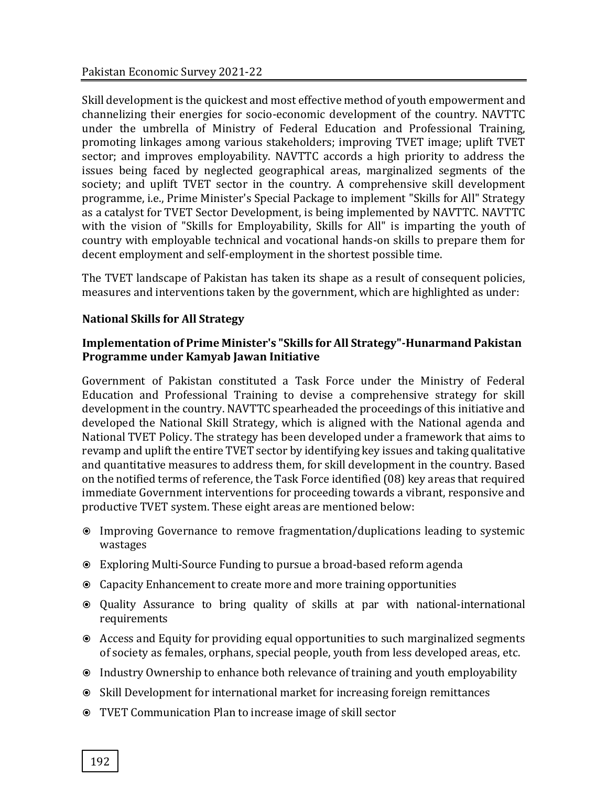Skill development is the quickest and most effective method of youth empowerment and channelizing their energies for socio-economic development of the country. NAVTTC under the umbrella of Ministry of Federal Education and Professional Training, promoting linkages among various stakeholders; improving TVET image; uplift TVET sector; and improves employability. NAVTTC accords a high priority to address the issues being faced by neglected geographical areas, marginalized segments of the society; and uplift TVET sector in the country. A comprehensive skill development programme, i.e., Prime Minister's Special Package to implement "Skills for All" Strategy as a catalyst for TVET Sector Development, is being implemented by NAVTTC. NAVTTC with the vision of "Skills for Employability, Skills for All" is imparting the youth of country with employable technical and vocational hands-on skills to prepare them for decent employment and self-employment in the shortest possible time.

The TVET landscape of Pakistan has taken its shape as a result of consequent policies, measures and interventions taken by the government, which are highlighted as under:

#### **National Skills for All Strategy**

#### **Implementation of Prime Minister's "Skills for All Strategy"-Hunarmand Pakistan Programme under Kamyab Jawan Initiative**

Government of Pakistan constituted a Task Force under the Ministry of Federal Education and Professional Training to devise a comprehensive strategy for skill development in the country. NAVTTC spearheaded the proceedings of this initiative and developed the National Skill Strategy, which is aligned with the National agenda and National TVET Policy. The strategy has been developed under a framework that aims to revamp and uplift the entire TVET sector by identifying key issues and taking qualitative and quantitative measures to address them, for skill development in the country. Based on the notified terms of reference, the Task Force identified (08) key areas that required immediate Government interventions for proceeding towards a vibrant, responsive and productive TVET system. These eight areas are mentioned below:

- Improving Governance to remove fragmentation/duplications leading to systemic wastages
- Exploring Multi-Source Funding to pursue a broad-based reform agenda
- Capacity Enhancement to create more and more training opportunities
- Quality Assurance to bring quality of skills at par with national-international requirements
- Access and Equity for providing equal opportunities to such marginalized segments of society as females, orphans, special people, youth from less developed areas, etc.
- Industry Ownership to enhance both relevance of training and youth employability
- Skill Development for international market for increasing foreign remittances
- TVET Communication Plan to increase image of skill sector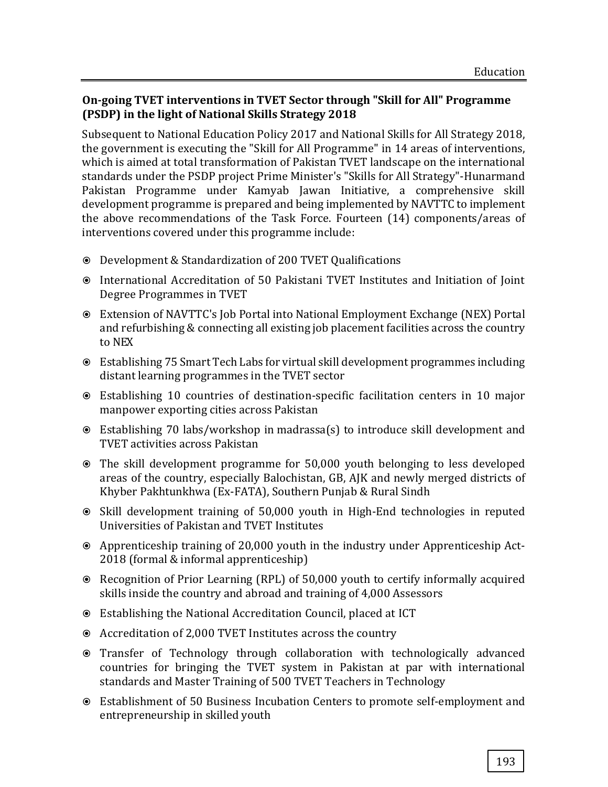#### **On-going TVET interventions in TVET Sector through "Skill for All" Programme (PSDP) in the light of National Skills Strategy 2018**

Subsequent to National Education Policy 2017 and National Skills for All Strategy 2018, the government is executing the "Skill for All Programme" in 14 areas of interventions, which is aimed at total transformation of Pakistan TVET landscape on the international standards under the PSDP project Prime Minister's "Skills for All Strategy"-Hunarmand Pakistan Programme under Kamyab Jawan Initiative, a comprehensive skill development programme is prepared and being implemented by NAVTTC to implement the above recommendations of the Task Force. Fourteen (14) components/areas of interventions covered under this programme include:

- Development & Standardization of 200 TVET Qualifications
- International Accreditation of 50 Pakistani TVET Institutes and Initiation of Joint Degree Programmes in TVET
- Extension of NAVTTC's Job Portal into National Employment Exchange (NEX) Portal and refurbishing & connecting all existing job placement facilities across the country to NEX
- Establishing 75 Smart Tech Labs for virtual skill development programmes including distant learning programmes in the TVET sector
- Establishing 10 countries of destination-specific facilitation centers in 10 major manpower exporting cities across Pakistan
- Establishing 70 labs/workshop in madrassa(s) to introduce skill development and TVET activities across Pakistan
- The skill development programme for 50,000 youth belonging to less developed areas of the country, especially Balochistan, GB, AJK and newly merged districts of Khyber Pakhtunkhwa (Ex-FATA), Southern Punjab & Rural Sindh
- Skill development training of 50,000 youth in High-End technologies in reputed Universities of Pakistan and TVET Institutes
- Apprenticeship training of 20,000 youth in the industry under Apprenticeship Act-2018 (formal & informal apprenticeship)
- Recognition of Prior Learning (RPL) of 50,000 youth to certify informally acquired skills inside the country and abroad and training of 4,000 Assessors
- Establishing the National Accreditation Council, placed at ICT
- Accreditation of 2,000 TVET Institutes across the country
- Transfer of Technology through collaboration with technologically advanced countries for bringing the TVET system in Pakistan at par with international standards and Master Training of 500 TVET Teachers in Technology
- Establishment of 50 Business Incubation Centers to promote self-employment and entrepreneurship in skilled youth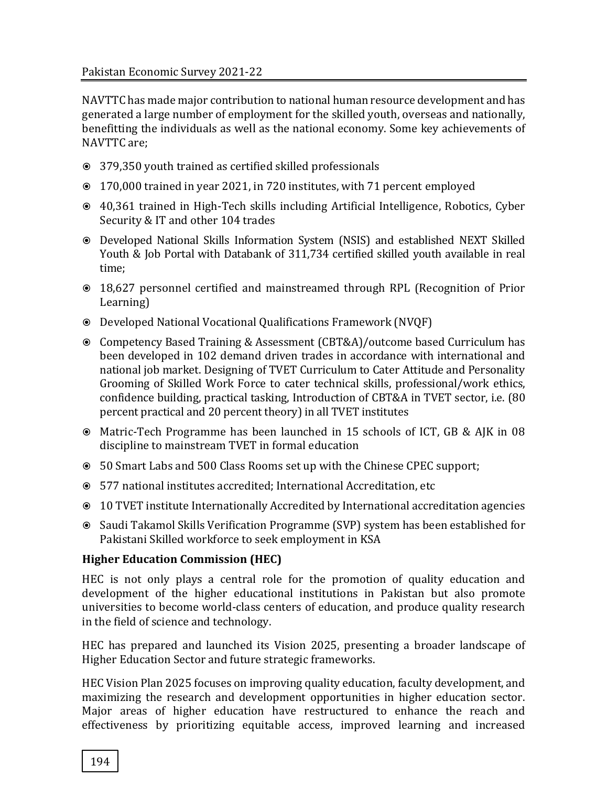NAVTTC has made major contribution to national human resource development and has generated a large number of employment for the skilled youth, overseas and nationally, benefitting the individuals as well as the national economy. Some key achievements of NAVTTC are;

- 379,350 youth trained as certified skilled professionals
- 170,000 trained in year 2021, in 720 institutes, with 71 percent employed
- 40,361 trained in High-Tech skills including Artificial Intelligence, Robotics, Cyber Security & IT and other 104 trades
- Developed National Skills Information System (NSIS) and established NEXT Skilled Youth & Job Portal with Databank of 311,734 certified skilled youth available in real time;
- 18,627 personnel certified and mainstreamed through RPL (Recognition of Prior Learning)
- Developed National Vocational Qualifications Framework (NVQF)
- Competency Based Training & Assessment (CBT&A)/outcome based Curriculum has been developed in 102 demand driven trades in accordance with international and national job market. Designing of TVET Curriculum to Cater Attitude and Personality Grooming of Skilled Work Force to cater technical skills, professional/work ethics, confidence building, practical tasking, Introduction of CBT&A in TVET sector, i.e. (80 percent practical and 20 percent theory) in all TVET institutes
- Matric-Tech Programme has been launched in 15 schools of ICT, GB & AJK in 08 discipline to mainstream TVET in formal education
- 50 Smart Labs and 500 Class Rooms set up with the Chinese CPEC support;
- 577 national institutes accredited; International Accreditation, etc
- 10 TVET institute Internationally Accredited by International accreditation agencies
- Saudi Takamol Skills Verification Programme (SVP) system has been established for Pakistani Skilled workforce to seek employment in KSA

# **Higher Education Commission (HEC)**

HEC is not only plays a central role for the promotion of quality education and development of the higher educational institutions in Pakistan but also promote universities to become world-class centers of education, and produce quality research in the field of science and technology.

HEC has prepared and launched its Vision 2025, presenting a broader landscape of Higher Education Sector and future strategic frameworks.

HEC Vision Plan 2025 focuses on improving quality education, faculty development, and maximizing the research and development opportunities in higher education sector. Major areas of higher education have restructured to enhance the reach and effectiveness by prioritizing equitable access, improved learning and increased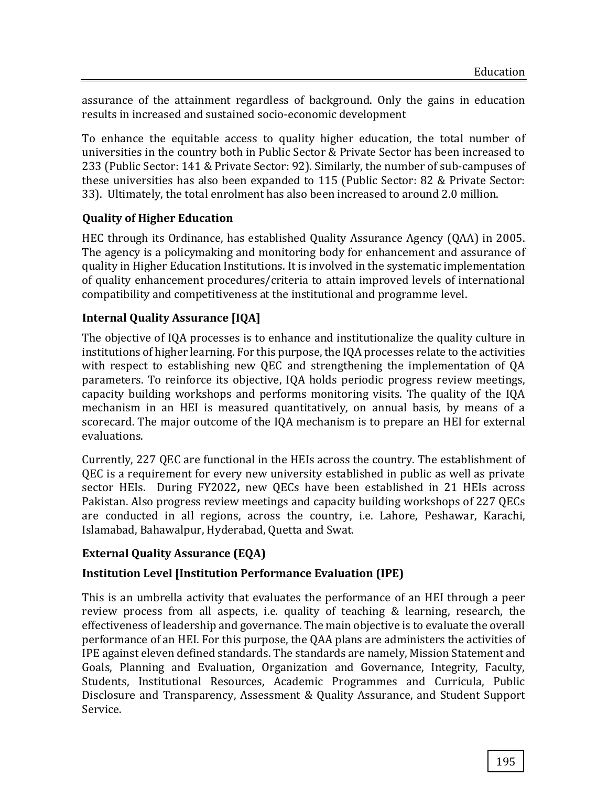assurance of the attainment regardless of background. Only the gains in education results in increased and sustained socio-economic development

To enhance the equitable access to quality higher education, the total number of universities in the country both in Public Sector & Private Sector has been increased to 233 (Public Sector: 141 & Private Sector: 92). Similarly, the number of sub-campuses of these universities has also been expanded to 115 (Public Sector: 82 & Private Sector: 33). Ultimately, the total enrolment has also been increased to around 2.0 million.

# **Quality of Higher Education**

HEC through its Ordinance, has established Quality Assurance Agency (QAA) in 2005. The agency is a policymaking and monitoring body for enhancement and assurance of quality in Higher Education Institutions. It is involved in the systematic implementation of quality enhancement procedures/criteria to attain improved levels of international compatibility and competitiveness at the institutional and programme level.

## **Internal Quality Assurance [IQA]**

The objective of IQA processes is to enhance and institutionalize the quality culture in institutions of higher learning. For this purpose, the IQA processes relate to the activities with respect to establishing new QEC and strengthening the implementation of QA parameters. To reinforce its objective, IQA holds periodic progress review meetings, capacity building workshops and performs monitoring visits. The quality of the IQA mechanism in an HEI is measured quantitatively, on annual basis, by means of a scorecard. The major outcome of the IQA mechanism is to prepare an HEI for external evaluations.

Currently, 227 QEC are functional in the HEIs across the country. The establishment of QEC is a requirement for every new university established in public as well as private sector HEIs. During FY2022**,** new QECs have been established in 21 HEIs across Pakistan. Also progress review meetings and capacity building workshops of 227 QECs are conducted in all regions, across the country, i.e. Lahore, Peshawar, Karachi, Islamabad, Bahawalpur, Hyderabad, Quetta and Swat.

# **External Quality Assurance (EQA)**

#### **Institution Level [Institution Performance Evaluation (IPE)**

This is an umbrella activity that evaluates the performance of an HEI through a peer review process from all aspects, i.e. quality of teaching & learning, research, the effectiveness of leadership and governance. The main objective is to evaluate the overall performance of an HEI. For this purpose, the QAA plans are administers the activities of IPE against eleven defined standards. The standards are namely, Mission Statement and Goals, Planning and Evaluation, Organization and Governance, Integrity, Faculty, Students, Institutional Resources, Academic Programmes and Curricula, Public Disclosure and Transparency, Assessment & Quality Assurance, and Student Support Service.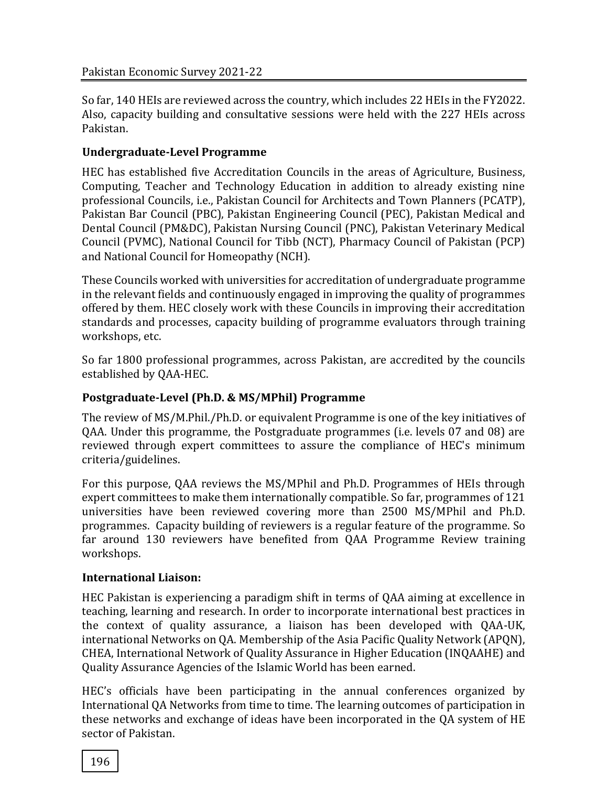So far, 140 HEIs are reviewed across the country, which includes 22 HEIs in the FY2022. Also, capacity building and consultative sessions were held with the 227 HEIs across Pakistan.

# **Undergraduate-Level Programme**

HEC has established five Accreditation Councils in the areas of Agriculture, Business, Computing, Teacher and Technology Education in addition to already existing nine professional Councils, i.e., Pakistan Council for Architects and Town Planners (PCATP), Pakistan Bar Council (PBC), Pakistan Engineering Council (PEC), Pakistan Medical and Dental Council (PM&DC), Pakistan Nursing Council (PNC), Pakistan Veterinary Medical Council (PVMC), National Council for Tibb (NCT), Pharmacy Council of Pakistan (PCP) and National Council for Homeopathy (NCH).

These Councils worked with universities for accreditation of undergraduate programme in the relevant fields and continuously engaged in improving the quality of programmes offered by them. HEC closely work with these Councils in improving their accreditation standards and processes, capacity building of programme evaluators through training workshops, etc.

So far 1800 professional programmes, across Pakistan, are accredited by the councils established by QAA-HEC.

# **Postgraduate-Level (Ph.D. & MS/MPhil) Programme**

The review of MS/M.Phil./Ph.D. or equivalent Programme is one of the key initiatives of QAA. Under this programme, the Postgraduate programmes (i.e. levels 07 and 08) are reviewed through expert committees to assure the compliance of HEC's minimum criteria/guidelines.

For this purpose, QAA reviews the MS/MPhil and Ph.D. Programmes of HEIs through expert committees to make them internationally compatible. So far, programmes of 121 universities have been reviewed covering more than 2500 MS/MPhil and Ph.D. programmes. Capacity building of reviewers is a regular feature of the programme. So far around 130 reviewers have benefited from QAA Programme Review training workshops.

# **International Liaison:**

HEC Pakistan is experiencing a paradigm shift in terms of QAA aiming at excellence in teaching, learning and research. In order to incorporate international best practices in the context of quality assurance, a liaison has been developed with QAA-UK, international Networks on QA. Membership of the Asia Pacific Quality Network (APQN), CHEA, International Network of Quality Assurance in Higher Education (INQAAHE) and Quality Assurance Agencies of the Islamic World has been earned.

HEC's officials have been participating in the annual conferences organized by International QA Networks from time to time. The learning outcomes of participation in these networks and exchange of ideas have been incorporated in the QA system of HE sector of Pakistan.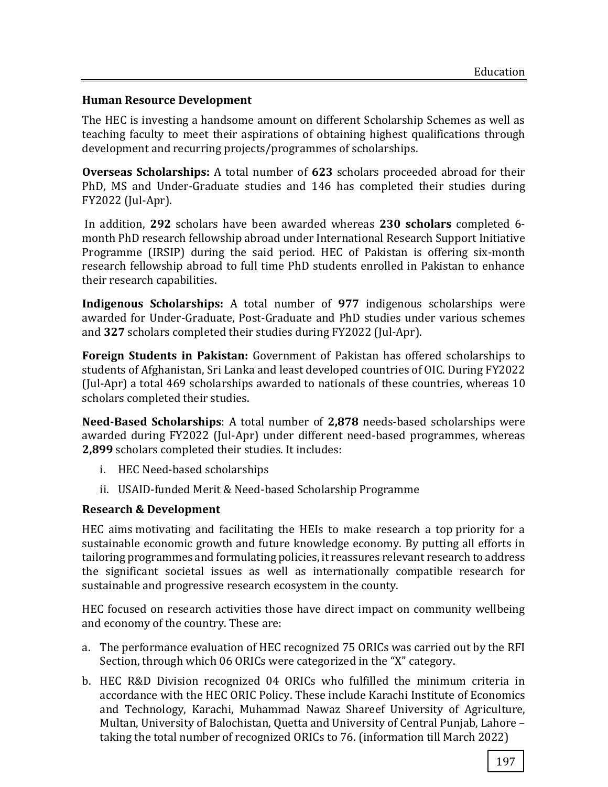#### **Human Resource Development**

The HEC is investing a handsome amount on different Scholarship Schemes as well as teaching faculty to meet their aspirations of obtaining highest qualifications through development and recurring projects/programmes of scholarships.

**Overseas Scholarships:** A total number of **623** scholars proceeded abroad for their PhD, MS and Under-Graduate studies and 146 has completed their studies during FY2022 (Jul-Apr).

In addition, **292** scholars have been awarded whereas **230 scholars** completed 6 month PhD research fellowship abroad under International Research Support Initiative Programme (IRSIP) during the said period. HEC of Pakistan is offering six-month research fellowship abroad to full time PhD students enrolled in Pakistan to enhance their research capabilities.

**Indigenous Scholarships:** A total number of **977** indigenous scholarships were awarded for Under-Graduate, Post-Graduate and PhD studies under various schemes and **327** scholars completed their studies during FY2022 (Jul-Apr).

**Foreign Students in Pakistan:** Government of Pakistan has offered scholarships to students of Afghanistan, Sri Lanka and least developed countries of OIC. During FY2022 (Jul-Apr) a total 469 scholarships awarded to nationals of these countries, whereas 10 scholars completed their studies.

**Need-Based Scholarships**: A total number of **2,878** needs-based scholarships were awarded during FY2022 (Jul-Apr) under different need-based programmes, whereas **2,899** scholars completed their studies. It includes:

- i. HEC Need-based scholarships
- ii. USAID-funded Merit & Need-based Scholarship Programme

#### **Research & Development**

HEC aims motivating and facilitating the HEIs to make research a top priority for a sustainable economic growth and future knowledge economy. By putting all efforts in tailoring programmes and formulating policies, it reassures relevant research to address the significant societal issues as well as internationally compatible research for sustainable and progressive research ecosystem in the county.

HEC focused on research activities those have direct impact on community wellbeing and economy of the country. These are:

- a. The performance evaluation of HEC recognized 75 ORICs was carried out by the RFI Section, through which 06 ORICs were categorized in the "X" category.
- b. HEC R&D Division recognized 04 ORICs who fulfilled the minimum criteria in accordance with the HEC ORIC Policy. These include Karachi Institute of Economics and Technology, Karachi, Muhammad Nawaz Shareef University of Agriculture, Multan, University of Balochistan, Quetta and University of Central Punjab, Lahore – taking the total number of recognized ORICs to 76. (information till March 2022)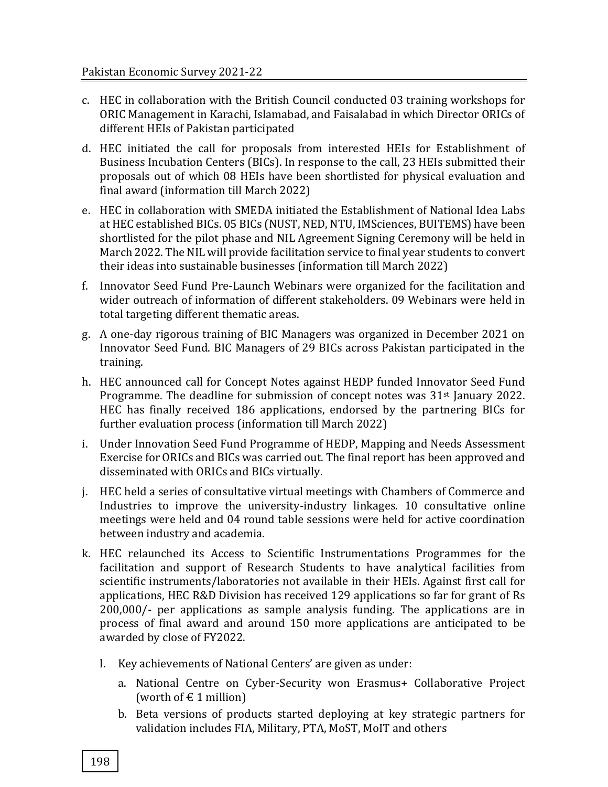- c. HEC in collaboration with the British Council conducted 03 training workshops for ORIC Management in Karachi, Islamabad, and Faisalabad in which Director ORICs of different HEIs of Pakistan participated
- d. HEC initiated the call for proposals from interested HEIs for Establishment of Business Incubation Centers (BICs). In response to the call, 23 HEIs submitted their proposals out of which 08 HEIs have been shortlisted for physical evaluation and final award (information till March 2022)
- e. HEC in collaboration with SMEDA initiated the Establishment of National Idea Labs at HEC established BICs. 05 BICs (NUST, NED, NTU, IMSciences, BUITEMS) have been shortlisted for the pilot phase and NIL Agreement Signing Ceremony will be held in March 2022. The NIL will provide facilitation service to final year students to convert their ideas into sustainable businesses (information till March 2022)
- f. Innovator Seed Fund Pre-Launch Webinars were organized for the facilitation and wider outreach of information of different stakeholders. 09 Webinars were held in total targeting different thematic areas.
- g. A one-day rigorous training of BIC Managers was organized in December 2021 on Innovator Seed Fund. BIC Managers of 29 BICs across Pakistan participated in the training.
- h. HEC announced call for Concept Notes against HEDP funded Innovator Seed Fund Programme. The deadline for submission of concept notes was 31<sup>st</sup> January 2022. HEC has finally received 186 applications, endorsed by the partnering BICs for further evaluation process (information till March 2022)
- i. Under Innovation Seed Fund Programme of HEDP, Mapping and Needs Assessment Exercise for ORICs and BICs was carried out. The final report has been approved and disseminated with ORICs and BICs virtually.
- j. HEC held a series of consultative virtual meetings with Chambers of Commerce and Industries to improve the university-industry linkages. 10 consultative online meetings were held and 04 round table sessions were held for active coordination between industry and academia.
- k. HEC relaunched its Access to Scientific Instrumentations Programmes for the facilitation and support of Research Students to have analytical facilities from scientific instruments/laboratories not available in their HEIs. Against first call for applications, HEC R&D Division has received 129 applications so far for grant of Rs 200,000/- per applications as sample analysis funding. The applications are in process of final award and around 150 more applications are anticipated to be awarded by close of FY2022.
	- l. Key achievements of National Centers' are given as under:
		- a. National Centre on Cyber-Security won Erasmus+ Collaborative Project (worth of  $\in$  1 million)
		- b. Beta versions of products started deploying at key strategic partners for validation includes FIA, Military, PTA, MoST, MoIT and others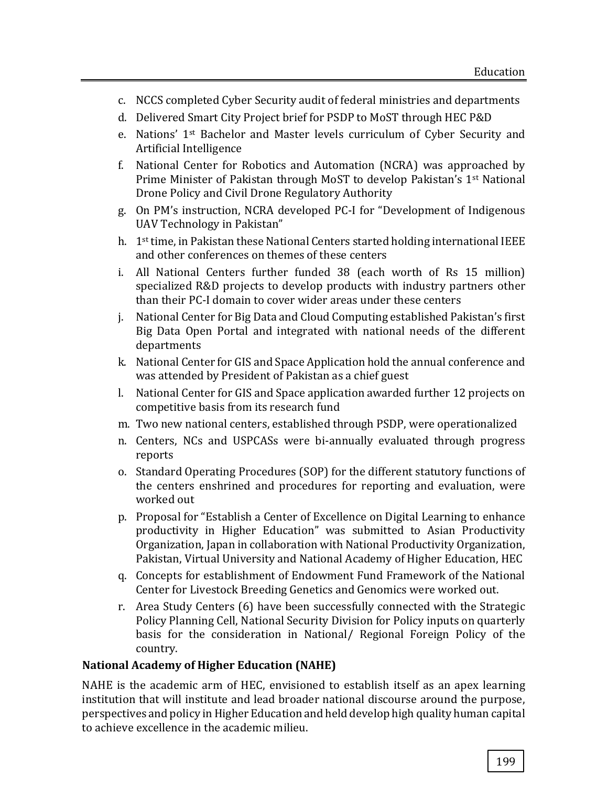- c. NCCS completed Cyber Security audit of federal ministries and departments
- d. Delivered Smart City Project brief for PSDP to MoST through HEC P&D
- e. Nations' 1st Bachelor and Master levels curriculum of Cyber Security and Artificial Intelligence
- f. National Center for Robotics and Automation (NCRA) was approached by Prime Minister of Pakistan through MoST to develop Pakistan's 1st National Drone Policy and Civil Drone Regulatory Authority
- g. On PM's instruction, NCRA developed PC-I for "Development of Indigenous UAV Technology in Pakistan"
- h.  $1<sup>st</sup>$  time, in Pakistan these National Centers started holding international IEEE and other conferences on themes of these centers
- i. All National Centers further funded 38 (each worth of Rs 15 million) specialized R&D projects to develop products with industry partners other than their PC-I domain to cover wider areas under these centers
- j. National Center for Big Data and Cloud Computing established Pakistan's first Big Data Open Portal and integrated with national needs of the different departments
- k. National Center for GIS and Space Application hold the annual conference and was attended by President of Pakistan as a chief guest
- l. National Center for GIS and Space application awarded further 12 projects on competitive basis from its research fund
- m. Two new national centers, established through PSDP, were operationalized
- n. Centers, NCs and USPCASs were bi-annually evaluated through progress reports
- o. Standard Operating Procedures (SOP) for the different statutory functions of the centers enshrined and procedures for reporting and evaluation, were worked out
- p. Proposal for "Establish a Center of Excellence on Digital Learning to enhance productivity in Higher Education" was submitted to Asian Productivity Organization, Japan in collaboration with National Productivity Organization, Pakistan, Virtual University and National Academy of Higher Education, HEC
- q. Concepts for establishment of Endowment Fund Framework of the National Center for Livestock Breeding Genetics and Genomics were worked out.
- r. Area Study Centers (6) have been successfully connected with the Strategic Policy Planning Cell, National Security Division for Policy inputs on quarterly basis for the consideration in National/ Regional Foreign Policy of the country.

#### **National Academy of Higher Education (NAHE)**

NAHE is the academic arm of HEC, envisioned to establish itself as an apex learning institution that will institute and lead broader national discourse around the purpose, perspectives and policy in Higher Education and held develop high quality human capital to achieve excellence in the academic milieu.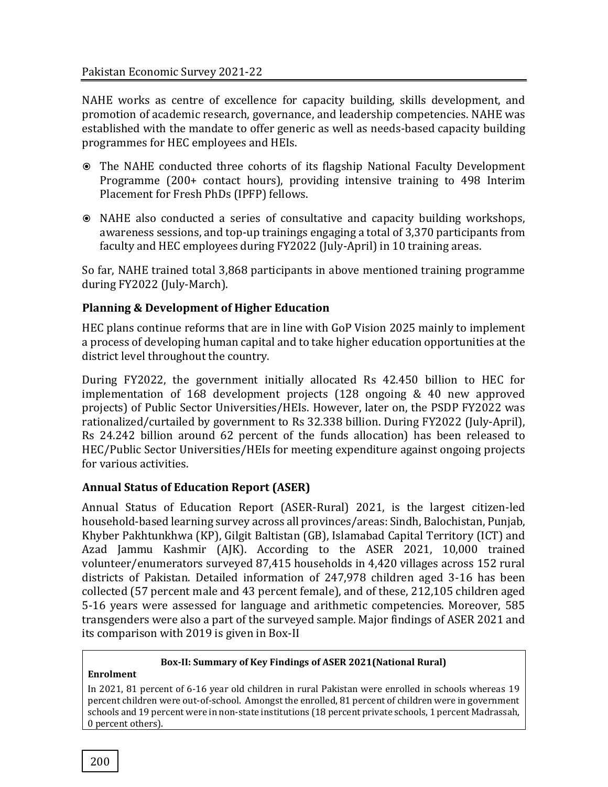NAHE works as centre of excellence for capacity building, skills development, and promotion of academic research, governance, and leadership competencies. NAHE was established with the mandate to offer generic as well as needs-based capacity building programmes for HEC employees and HEIs.

- The NAHE conducted three cohorts of its flagship National Faculty Development Programme (200+ contact hours), providing intensive training to 498 Interim Placement for Fresh PhDs (IPFP) fellows.
- NAHE also conducted a series of consultative and capacity building workshops, awareness sessions, and top-up trainings engaging a total of 3,370 participants from faculty and HEC employees during FY2022 (July-April) in 10 training areas.

So far, NAHE trained total 3,868 participants in above mentioned training programme during FY2022 (July-March).

# **Planning & Development of Higher Education**

HEC plans continue reforms that are in line with GoP Vision 2025 mainly to implement a process of developing human capital and to take higher education opportunities at the district level throughout the country.

During FY2022, the government initially allocated Rs 42.450 billion to HEC for implementation of 168 development projects (128 ongoing & 40 new approved projects) of Public Sector Universities/HEIs. However, later on, the PSDP FY2022 was rationalized/curtailed by government to Rs 32.338 billion. During FY2022 (July-April), Rs 24.242 billion around 62 percent of the funds allocation) has been released to HEC/Public Sector Universities/HEIs for meeting expenditure against ongoing projects for various activities.

# **Annual Status of Education Report (ASER)**

Annual Status of Education Report (ASER-Rural) 2021, is the largest citizen-led household-based learning survey across all provinces/areas: Sindh, Balochistan, Punjab, Khyber Pakhtunkhwa (KP), Gilgit Baltistan (GB), Islamabad Capital Territory (ICT) and Azad Jammu Kashmir (AJK). According to the ASER 2021, 10,000 trained volunteer/enumerators surveyed 87,415 households in 4,420 villages across 152 rural districts of Pakistan. Detailed information of 247,978 children aged 3-16 has been collected (57 percent male and 43 percent female), and of these, 212,105 children aged 5-16 years were assessed for language and arithmetic competencies. Moreover, 585 transgenders were also a part of the surveyed sample. Major findings of ASER 2021 and its comparison with 2019 is given in Box-II

#### **Box-II: Summary of Key Findings of ASER 2021(National Rural)**

#### **Enrolment**

In 2021, 81 percent of 6-16 year old children in rural Pakistan were enrolled in schools whereas 19 percent children were out-of-school. Amongst the enrolled, 81 percent of children were in government schools and 19 percent were in non-state institutions (18 percent private schools, 1 percent Madrassah, 0 percent others).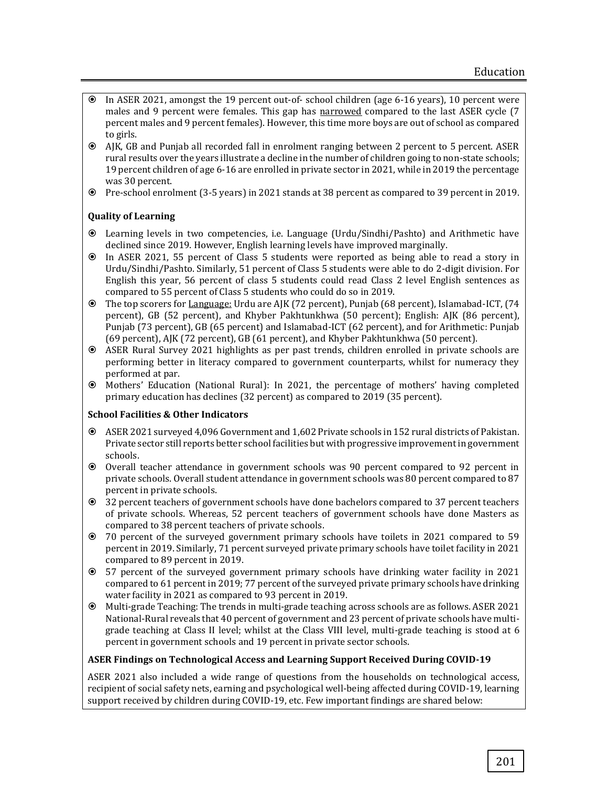- In ASER 2021, amongst the 19 percent out-of- school children (age 6-16 years), 10 percent were males and 9 percent were females. This gap has narrowed compared to the last ASER cycle (7 percent males and 9 percent females). However, this time more boys are out of school as compared to girls.
- AJK, GB and Punjab all recorded fall in enrolment ranging between 2 percent to 5 percent. ASER rural results over the years illustrate a decline in the number of children going to non-state schools; 19 percent children of age 6-16 are enrolled in private sector in 2021, while in 2019 the percentage was 30 percent.
- Pre-school enrolment (3-5 years) in 2021 stands at 38 percent as compared to 39 percent in 2019.

#### **Quality of Learning**

- Learning levels in two competencies, i.e. Language (Urdu/Sindhi/Pashto) and Arithmetic have declined since 2019. However, English learning levels have improved marginally.
- In ASER 2021, 55 percent of Class 5 students were reported as being able to read a story in Urdu/Sindhi/Pashto. Similarly, 51 percent of Class 5 students were able to do 2-digit division. For English this year, 56 percent of class 5 students could read Class 2 level English sentences as compared to 55 percent of Class 5 students who could do so in 2019.
- The top scorers for Language: Urdu are AJK (72 percent), Punjab (68 percent), Islamabad-ICT, (74 percent), GB (52 percent), and Khyber Pakhtunkhwa (50 percent); English: AJK (86 percent), Punjab (73 percent), GB (65 percent) and Islamabad-ICT (62 percent), and for Arithmetic: Punjab (69 percent), AJK (72 percent), GB (61 percent), and Khyber Pakhtunkhwa (50 percent).
- ASER Rural Survey 2021 highlights as per past trends, children enrolled in private schools are performing better in literacy compared to government counterparts, whilst for numeracy they performed at par.
- Mothers' Education (National Rural): In 2021, the percentage of mothers' having completed primary education has declines (32 percent) as compared to 2019 (35 percent).

#### **School Facilities & Other Indicators**

- ASER 2021 surveyed 4,096 Government and 1,602 Private schools in 152 rural districts of Pakistan. Private sector still reports better school facilities but with progressive improvement in government schools.
- Overall teacher attendance in government schools was 90 percent compared to 92 percent in private schools. Overall student attendance in government schools was 80 percent compared to 87 percent in private schools.
- 32 percent teachers of government schools have done bachelors compared to 37 percent teachers of private schools. Whereas, 52 percent teachers of government schools have done Masters as compared to 38 percent teachers of private schools.
- 70 percent of the surveyed government primary schools have toilets in 2021 compared to 59 percent in 2019. Similarly, 71 percent surveyed private primary schools have toilet facility in 2021 compared to 89 percent in 2019.
- 57 percent of the surveyed government primary schools have drinking water facility in 2021 compared to 61 percent in 2019; 77 percent of the surveyed private primary schools have drinking water facility in 2021 as compared to 93 percent in 2019.
- Multi-grade Teaching: The trends in multi-grade teaching across schools are as follows. ASER 2021 National-Rural reveals that 40 percent of government and 23 percent of private schools have multigrade teaching at Class II level; whilst at the Class VIII level, multi-grade teaching is stood at 6 percent in government schools and 19 percent in private sector schools.

#### **ASER Findings on Technological Access and Learning Support Received During COVID-19**

ASER 2021 also included a wide range of questions from the households on technological access, recipient of social safety nets, earning and psychological well-being affected during COVID-19, learning support received by children during COVID-19, etc. Few important findings are shared below: